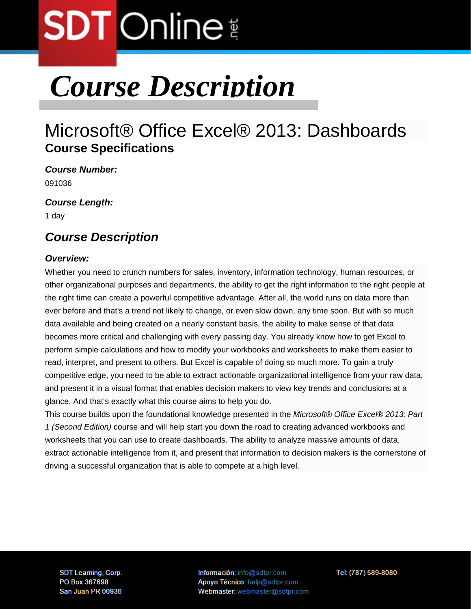## *Course Description*

### Microsoft® Office Excel® 2013: Dashboards **Course Specifications**

*Course Number:*  091036

*Course Length:* 

1 day

### *Course Description*

#### *Overview:*

Whether you need to crunch numbers for sales, inventory, information technology, human resources, or other organizational purposes and departments, the ability to get the right information to the right people at the right time can create a powerful competitive advantage. After all, the world runs on data more than ever before and that's a trend not likely to change, or even slow down, any time soon. But with so much data available and being created on a nearly constant basis, the ability to make sense of that data becomes more critical and challenging with every passing day. You already know how to get Excel to perform simple calculations and how to modify your workbooks and worksheets to make them easier to read, interpret, and present to others. But Excel is capable of doing so much more. To gain a truly competitive edge, you need to be able to extract actionable organizational intelligence from your raw data, and present it in a visual format that enables decision makers to view key trends and conclusions at a glance. And that's exactly what this course aims to help you do.

This course builds upon the foundational knowledge presented in the *Microsoft® Office Excel® 2013: Part 1 (Second Edition)* course and will help start you down the road to creating advanced workbooks and worksheets that you can use to create dashboards. The ability to analyze massive amounts of data, extract actionable intelligence from it, and present that information to decision makers is the cornerstone of driving a successful organization that is able to compete at a high level.

SDT Learning, Corp. PO Box 367698 San Juan PR 00936 Información: info@sdtpr.com Apoyo Técnico: help@sdtpr.com Webmaster: webmaster@sdtpr.com Tel: (787) 589-8080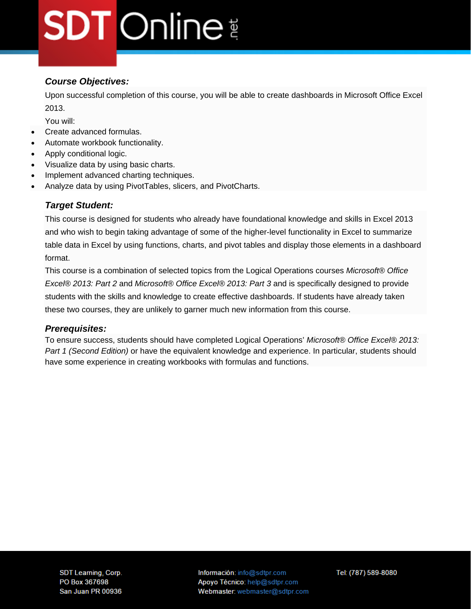#### *Course Objectives:*

Upon successful completion of this course, you will be able to create dashboards in Microsoft Office Excel 2013.

You will:

- Create advanced formulas.
- Automate workbook functionality.
- Apply conditional logic.
- Visualize data by using basic charts.
- Implement advanced charting techniques.
- Analyze data by using PivotTables, slicers, and PivotCharts.

#### *Target Student:*

This course is designed for students who already have foundational knowledge and skills in Excel 2013 and who wish to begin taking advantage of some of the higher-level functionality in Excel to summarize table data in Excel by using functions, charts, and pivot tables and display those elements in a dashboard format.

This course is a combination of selected topics from the Logical Operations courses *Microsoft® Office Excel® 2013: Part 2* and *Microsoft® Office Excel® 2013: Part 3* and is specifically designed to provide students with the skills and knowledge to create effective dashboards. If students have already taken these two courses, they are unlikely to garner much new information from this course.

#### *Prerequisites:*

To ensure success, students should have completed Logical Operations' *Microsoft® Office Excel® 2013: Part 1 (Second Edition)* or have the equivalent knowledge and experience. In particular, students should have some experience in creating workbooks with formulas and functions.

Información: info@sdtpr.com Apoyo Técnico: help@sdtpr.com Webmaster: webmaster@sdtpr.com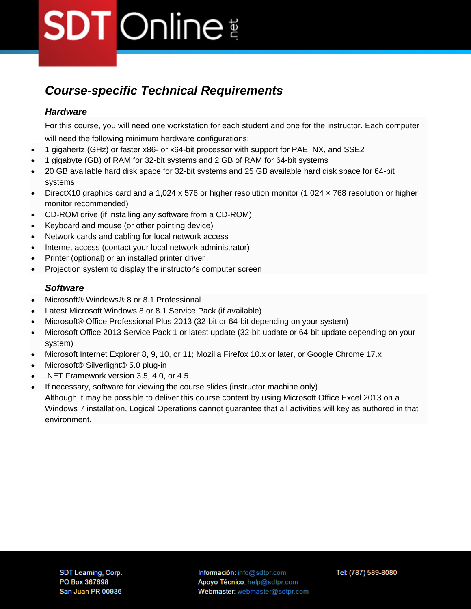### *Course-specific Technical Requirements*

#### *Hardware*

For this course, you will need one workstation for each student and one for the instructor. Each computer will need the following minimum hardware configurations:

- 1 gigahertz (GHz) or faster x86- or x64-bit processor with support for PAE, NX, and SSE2
- 1 gigabyte (GB) of RAM for 32-bit systems and 2 GB of RAM for 64-bit systems
- 20 GB available hard disk space for 32-bit systems and 25 GB available hard disk space for 64-bit systems
- DirectX10 graphics card and a 1,024 x 576 or higher resolution monitor (1,024  $\times$  768 resolution or higher monitor recommended)
- CD-ROM drive (if installing any software from a CD-ROM)
- Keyboard and mouse (or other pointing device)
- Network cards and cabling for local network access
- Internet access (contact your local network administrator)
- Printer (optional) or an installed printer driver
- Projection system to display the instructor's computer screen

#### *Software*

- Microsoft® Windows® 8 or 8.1 Professional
- Latest Microsoft Windows 8 or 8.1 Service Pack (if available)
- Microsoft® Office Professional Plus 2013 (32-bit or 64-bit depending on your system)
- Microsoft Office 2013 Service Pack 1 or latest update (32-bit update or 64-bit update depending on your system)
- Microsoft Internet Explorer 8, 9, 10, or 11; Mozilla Firefox 10.x or later, or Google Chrome 17.x
- Microsoft® Silverlight® 5.0 plug-in
- .NET Framework version 3.5, 4.0, or 4.5
- If necessary, software for viewing the course slides (instructor machine only) Although it may be possible to deliver this course content by using Microsoft Office Excel 2013 on a Windows 7 installation, Logical Operations cannot guarantee that all activities will key as authored in that environment.

Información: info@sdtpr.com Apoyo Técnico: help@sdtpr.com Webmaster: webmaster@sdtpr.com